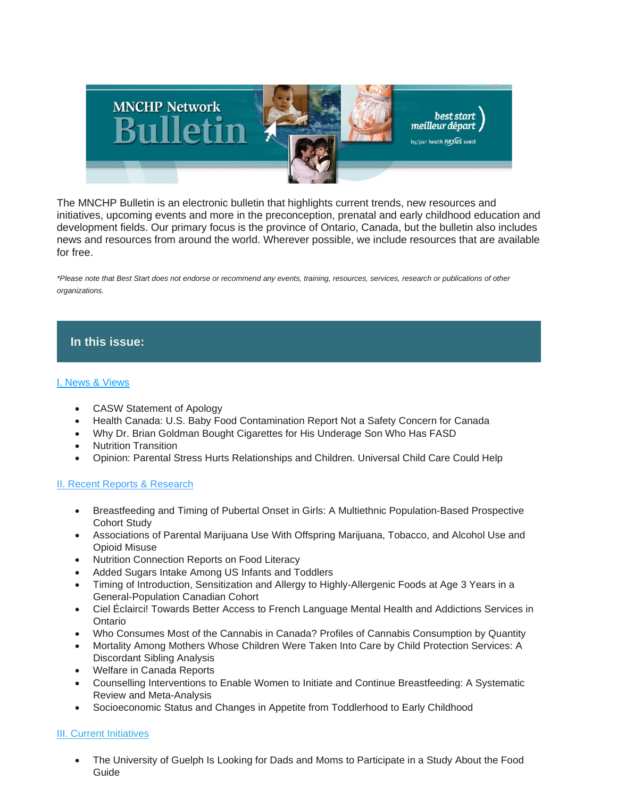

The MNCHP Bulletin is an electronic bulletin that highlights current trends, new resources and initiatives, upcoming events and more in the preconception, prenatal and early childhood education and development fields. Our primary focus is the province of Ontario, Canada, but the bulletin also includes news and resources from around the world. Wherever possible, we include resources that are available for free.

*\*Please note that Best Start does not endorse or recommend any events, training, resources, services, research or publications of other organizations.*

# **In this issue:**

### [I. News & Views](https://us14.admin.mailchimp.com/templates/preview-template?id=190058#I.%20News%20&%20Views)

- CASW Statement of Apology
- Health Canada: U.S. Baby Food Contamination Report Not a Safety Concern for Canada
- Why Dr. Brian Goldman Bought Cigarettes for His Underage Son Who Has FASD
- Nutrition Transition
- Opinion: Parental Stress Hurts Relationships and Children. Universal Child Care Could Help

#### [II. Recent Reports & Research](https://us14.admin.mailchimp.com/templates/preview-template?id=190058#II.%20Recent%20Reports%20&%20Research%20-%20Early%20Childhood%20Development%20and%20Education)

- Breastfeeding and Timing of Pubertal Onset in Girls: A Multiethnic Population-Based Prospective Cohort Study
- Associations of Parental Marijuana Use With Offspring Marijuana, Tobacco, and Alcohol Use and Opioid Misuse
- Nutrition Connection Reports on Food Literacy
- Added Sugars Intake Among US Infants and Toddlers
- Timing of Introduction, Sensitization and Allergy to Highly-Allergenic Foods at Age 3 Years in a General-Population Canadian Cohort
- Ciel Éclairci! Towards Better Access to French Language Mental Health and Addictions Services in Ontario
- Who Consumes Most of the Cannabis in Canada? Profiles of Cannabis Consumption by Quantity
- Mortality Among Mothers Whose Children Were Taken Into Care by Child Protection Services: A Discordant Sibling Analysis
- Welfare in Canada Reports
- Counselling Interventions to Enable Women to Initiate and Continue Breastfeeding: A Systematic Review and Meta-Analysis
- Socioeconomic Status and Changes in Appetite from Toddlerhood to Early Childhood

## [III](https://us14.admin.mailchimp.com/templates/preview-template?id=190058#III.%20Current%20Initiatives)[. Current Initiatives](https://us14.admin.mailchimp.com/templates/preview-template?id=190058#V.%20Current%20Initiatives)

• The University of Guelph Is Looking for Dads and Moms to Participate in a Study About the Food Guide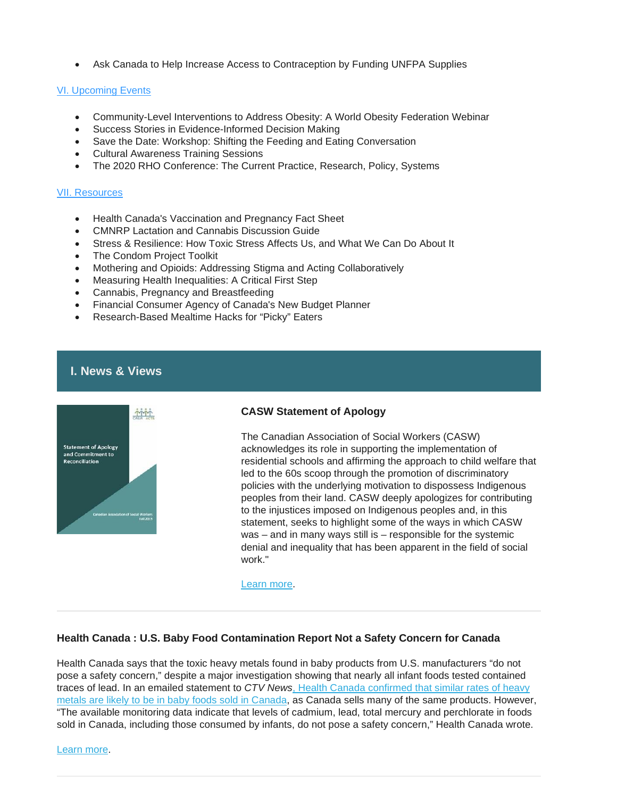• Ask Canada to Help Increase Access to Contraception by Funding UNFPA Supplies

## [VI. Upcoming Events](https://us14.admin.mailchimp.com/templates/preview-template?id=190058#IV.%20Upcoming%20Events)

- Community-Level Interventions to Address Obesity: A World Obesity Federation Webinar
- Success Stories in Evidence-Informed Decision Making
- Save the Date: Workshop: Shifting the Feeding and Eating Conversation
- Cultural Awareness Training Sessions
- The 2020 RHO Conference: The Current Practice, Research, Policy, Systems

## [VII. Resources](https://us14.admin.mailchimp.com/templates/preview-template?id=190058#V.%20Resources)

- Health Canada's Vaccination and Pregnancy Fact Sheet
- CMNRP Lactation and Cannabis Discussion Guide
- Stress & Resilience: How Toxic Stress Affects Us, and What We Can Do About It
- The Condom Project Toolkit
- Mothering and Opioids: Addressing Stigma and Acting Collaboratively
- Measuring Health Inequalities: A Critical First Step
- Cannabis, Pregnancy and Breastfeeding
- Financial Consumer Agency of Canada's New Budget Planner
- Research-Based Mealtime Hacks for "Picky" Eaters

# **I. News & Views**



## **CASW Statement of Apology**

The Canadian Association of Social Workers (CASW) acknowledges its role in supporting the implementation of residential schools and affirming the approach to child welfare that led to the 60s scoop through the promotion of discriminatory policies with the underlying motivation to dispossess Indigenous peoples from their land. CASW deeply apologizes for contributing to the injustices imposed on Indigenous peoples and, in this statement, seeks to highlight some of the ways in which CASW was – and in many ways still is – responsible for the systemic denial and inequality that has been apparent in the field of social work."

[Learn more.](https://www.casw-acts.ca/sites/default/files/Statement_of_Apology_and_Reconciliation.pdf)

## **Health Canada : U.S. Baby Food Contamination Report Not a Safety Concern for Canada**

Health Canada says that the toxic heavy metals found in baby products from U.S. manufacturers "do not pose a safety concern," despite a major investigation showing that nearly all infant foods tested contained traces of lead. In an emailed statement to *CTV News*[, Health Canada confirmed that similar rates of heavy](https://www.ctvnews.ca/health/not-a-safety-concern-health-canada-responds-to-u-s-study-that-found-toxic-metals-in-baby-food-1.4655600)  [metals are likely to be in baby foods sold in Canada,](https://www.ctvnews.ca/health/not-a-safety-concern-health-canada-responds-to-u-s-study-that-found-toxic-metals-in-baby-food-1.4655600) as Canada sells many of the same products. However, "The available monitoring data indicate that levels of cadmium, lead, total mercury and perchlorate in foods sold in Canada, including those consumed by infants, do not pose a safety concern," Health Canada wrote.

[Learn more.](https://www.thepostmillennial.com/health-canada-says-u-s-baby-food-contamination-report-not-a-safety-concern-for-canada/)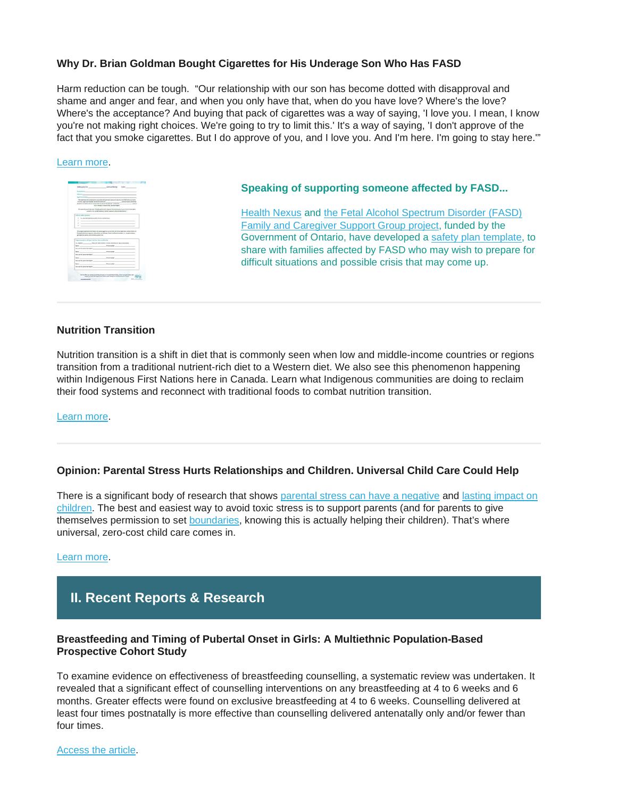## **Why Dr. Brian Goldman Bought Cigarettes for His Underage Son Who Has FASD**

Harm reduction can be tough. "Our relationship with our son has become dotted with disapproval and shame and anger and fear, and when you only have that, when do you have love? Where's the love? Where's the acceptance? And buying that pack of cigarettes was a way of saying, 'I love you. I mean, I know you're not making right choices. We're going to try to limit this.' It's a way of saying, 'I don't approve of the fact that you smoke cigarettes. But I do approve of you, and I love you. And I'm here. I'm going to stay here.'"

#### [Learn more.](https://www.cbc.ca/radio/whitecoat/why-dr-brian-goldman-bought-cigarettes-for-his-underage-son-who-has-fasd-1.5356551)



#### **Speaking of supporting someone affected by FASD...**

[Health Nexus](https://en.healthnexus.ca/) and [the Fetal Alcohol Spectrum Disorder \(FASD\)](https://en.healthnexus.ca/FASDSupportGroups)  [Family and Caregiver Support Group project,](https://en.healthnexus.ca/FASDSupportGroups) funded by the Government of Ontario, have developed a [safety plan template,](https://resources.beststart.org/product/j43e-fasd-safety-crisis-plan-one-pager/) to share with families affected by FASD who may wish to prepare for difficult situations and possible crisis that may come up.

## **Nutrition Transition**

Nutrition transition is a shift in diet that is commonly seen when low and middle-income countries or regions transition from a traditional nutrient-rich diet to a Western diet. We also see this phenomenon happening within Indigenous First Nations here in Canada. Learn what Indigenous communities are doing to reclaim their food systems and reconnect with traditional foods to combat nutrition transition.

#### [Learn more.](https://canadianfeedthechildren.ca/the-feed/nutrition-transition/?utm_source=CanWaCH+Newsletter&utm_campaign=f4356191ec-EMAIL_CAMPAIGN_2018_09_13_03_01_COPY_01&utm_medium=email&utm_term=0_74dcd35340-f4356191ec-307431313)

#### **Opinion: Parental Stress Hurts Relationships and Children. Universal Child Care Could Help**

There is a significant body of research that shows [parental stress can have a negative](https://www.ncbi.nlm.nih.gov/pmc/articles/PMC4861150/) and lasting impact on [children.](https://www.ncbi.nlm.nih.gov/pmc/articles/PMC5842251/) The best and easiest way to avoid toxic stress is to support parents (and for parents to give themselves permission to set [boundaries,](https://parenting.nytimes.com/health/burnout-boundaries) knowing this is actually helping their children). That's where universal, zero-cost child care comes in.

#### [Learn more.](https://www.romper.com/p/parental-stress-hurts-relationships-children-universal-child-care-could-help-19261160)

# **II. Recent Reports & Research**

#### **Breastfeeding and Timing of Pubertal Onset in Girls: A Multiethnic Population-Based Prospective Cohort Study**

To examine evidence on effectiveness of breastfeeding counselling, a systematic review was undertaken. It revealed that a significant effect of counselling interventions on any breastfeeding at 4 to 6 weeks and 6 months. Greater effects were found on exclusive breastfeeding at 4 to 6 weeks. Counselling delivered at least four times postnatally is more effective than counselling delivered antenatally only and/or fewer than four times.

[Access the article.](https://www.healthevidence.org/view-article.aspx?a=counselling-interventions-enable-women-initiate-continue-breastfeeding-37055)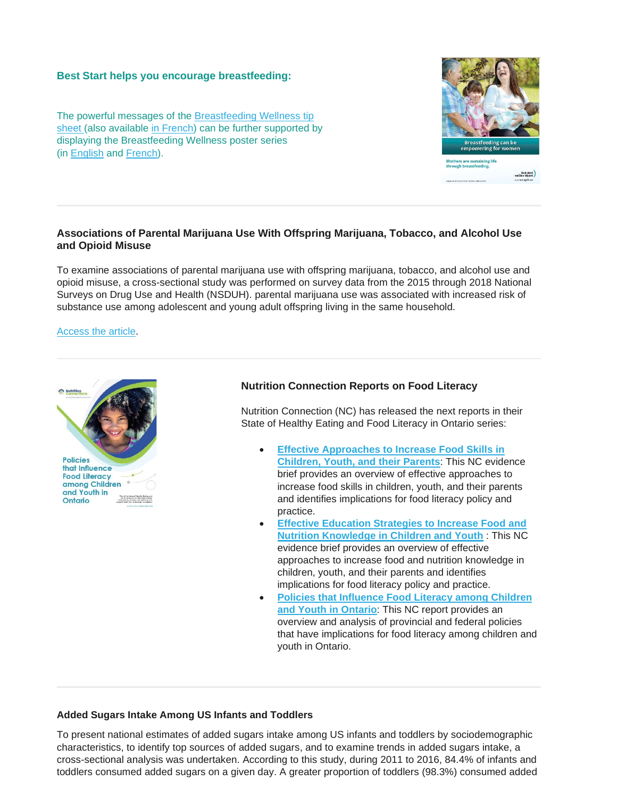### **Best Start helps you encourage breastfeeding:**

The powerful messages of the [Breastfeeding Wellness tip](https://resources.beststart.org/product/b49e-breastfeeding-wellness-tipsheet/)  [sheet](https://resources.beststart.org/product/b49e-breastfeeding-wellness-tipsheet/) (also available [in French\)](https://resources.beststart.org/product/b49f-allaitement-et-bien-etre-fiche-conseil-en) can be further supported by displaying the Breastfeeding Wellness poster series (in [English](https://resources.beststart.org/product/b50e-breastfeeding-wellness-posters/) and [French\)](https://resources.beststart.org/fr/product/b50f-allaitement-et-bien-etre-affiches-en).



## **Associations of Parental Marijuana Use With Offspring Marijuana, Tobacco, and Alcohol Use and Opioid Misuse**

To examine associations of parental marijuana use with offspring marijuana, tobacco, and alcohol use and opioid misuse, a cross-sectional study was performed on survey data from the 2015 through 2018 National Surveys on Drug Use and Health (NSDUH). parental marijuana use was associated with increased risk of substance use among adolescent and young adult offspring living in the same household.

[Access the article.](https://jamanetwork.com/journals/jamanetworkopen/fullarticle/2755867)



## **Nutrition Connection Reports on Food Literacy**

Nutrition Connection (NC) has released the next reports in their State of Healthy Eating and Food Literacy in Ontario series:

- **[Effective Approaches to Increase Food Skills in](https://nutritionconnections.us3.list-manage.com/track/click?u=523bec72fbd3002744594cd6a&id=e2fe8bdf8d&e=f6b345c34b)  [Children, Youth, and their Parents](https://nutritionconnections.us3.list-manage.com/track/click?u=523bec72fbd3002744594cd6a&id=e2fe8bdf8d&e=f6b345c34b)**: This NC evidence brief provides an overview of effective approaches to increase food skills in children, youth, and their parents and identifies implications for food literacy policy and practice.
- **[Effective Education Strategies to Increase Food and](https://nutritionconnections.us3.list-manage.com/track/click?u=523bec72fbd3002744594cd6a&id=3a3aed9f9b&e=f6b345c34b)  [Nutrition Knowledge in Children and Youth](https://nutritionconnections.us3.list-manage.com/track/click?u=523bec72fbd3002744594cd6a&id=3a3aed9f9b&e=f6b345c34b)** : This NC evidence brief provides an overview of effective approaches to increase food and nutrition knowledge in children, youth, and their parents and identifies implications for food literacy policy and practice.
- **[Policies that Influence Food Literacy among Children](https://nutritionconnections.us3.list-manage.com/track/click?u=523bec72fbd3002744594cd6a&id=1a02a19629&e=f6b345c34b)  [and Youth in Ontario](https://nutritionconnections.us3.list-manage.com/track/click?u=523bec72fbd3002744594cd6a&id=1a02a19629&e=f6b345c34b)**: This NC report provides an overview and analysis of provincial and federal policies that have implications for food literacy among children and youth in Ontario.

#### **Added Sugars Intake Among US Infants and Toddlers**

To present national estimates of added sugars intake among US infants and toddlers by sociodemographic characteristics, to identify top sources of added sugars, and to examine trends in added sugars intake, a cross-sectional analysis was undertaken. According to this study, during 2011 to 2016, 84.4% of infants and toddlers consumed added sugars on a given day. A greater proportion of toddlers (98.3%) consumed added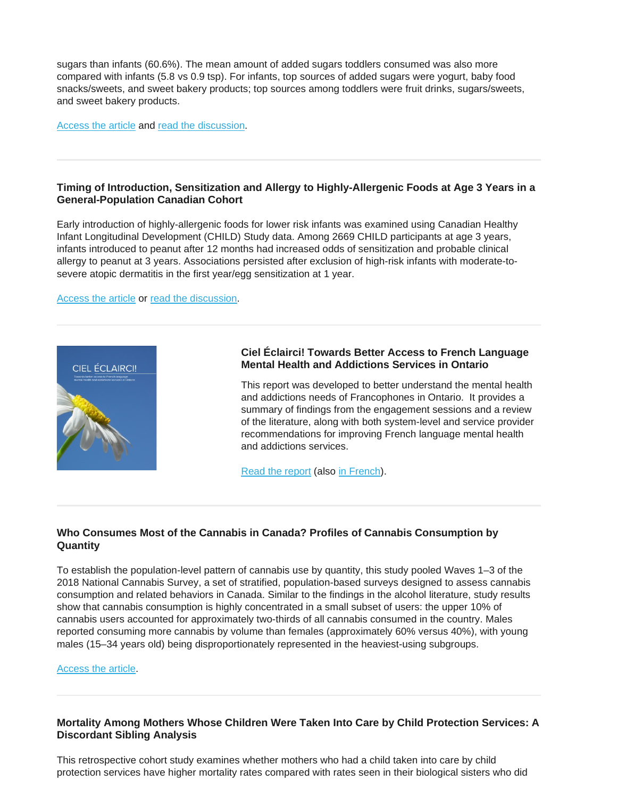sugars than infants (60.6%). The mean amount of added sugars toddlers consumed was also more compared with infants (5.8 vs 0.9 tsp). For infants, top sources of added sugars were yogurt, baby food snacks/sweets, and sweet bakery products; top sources among toddlers were fruit drinks, sugars/sweets, and sweet bakery products.

[Access the article](https://jandonline.org/article/S2212-2672(19)31340-1/fulltext) and [read the discussion.](https://montreal.ctvnews.ca/children-consume-products-with-added-sugar-too-early-and-too-often-a-new-study-finds-1.4685986)

## **Timing of Introduction, Sensitization and Allergy to Highly-Allergenic Foods at Age 3 Years in a General-Population Canadian Cohort**

Early introduction of highly-allergenic foods for lower risk infants was examined using Canadian Healthy Infant Longitudinal Development (CHILD) Study data. Among 2669 CHILD participants at age 3 years, infants introduced to peanut after 12 months had increased odds of sensitization and probable clinical allergy to peanut at 3 years. Associations persisted after exclusion of high-risk infants with moderate-tosevere atopic dermatitis in the first year/egg sensitization at 1 year.

[Access the article](https://www.jaci-inpractice.org/article/S2213-2198(19)30903-1/pdf) or [read the discussion.](https://childstudy.ca/media/press-releases/even-low-risk-eat-peanut-early/)



## **Ciel Éclairci! Towards Better Access to French Language Mental Health and Addictions Services in Ontario**

This report was developed to better understand the mental health and addictions needs of Francophones in Ontario. It provides a summary of findings from the engagement sessions and a review of the literature, along with both system-level and service provider recommendations for improving French language mental health and addictions services.

[Read the report](https://www.ontariominds.ca/en/news/2018/5/8/ciel-clairci-towards-better-access-to-french-language-mental-health-and-addictions-services-in-ontario) (also [in French\)](https://static1.squarespace.com/static/59088c43f7e0abd838a27292/t/5af1ffa470a6adc5986d0c4e/1525809061788/Ciel+Eclairci_2018_FRE.pdf).

# **Who Consumes Most of the Cannabis in Canada? Profiles of Cannabis Consumption by Quantity**

To establish the population-level pattern of cannabis use by quantity, this study pooled Waves 1–3 of the 2018 National Cannabis Survey, a set of stratified, population-based surveys designed to assess cannabis consumption and related behaviors in Canada. Similar to the findings in the alcohol literature, study results show that cannabis consumption is highly concentrated in a small subset of users: the upper 10% of cannabis users accounted for approximately two-thirds of all cannabis consumed in the country. Males reported consuming more cannabis by volume than females (approximately 60% versus 40%), with young males (15–34 years old) being disproportionately represented in the heaviest-using subgroups.

#### [Access the article.](https://www.sciencedirect.com/science/article/abs/pii/S0376871619303643?via%3Dihub)

# **Mortality Among Mothers Whose Children Were Taken Into Care by Child Protection Services: A Discordant Sibling Analysis**

This retrospective cohort study examines whether mothers who had a child taken into care by child protection services have higher mortality rates compared with rates seen in their biological sisters who did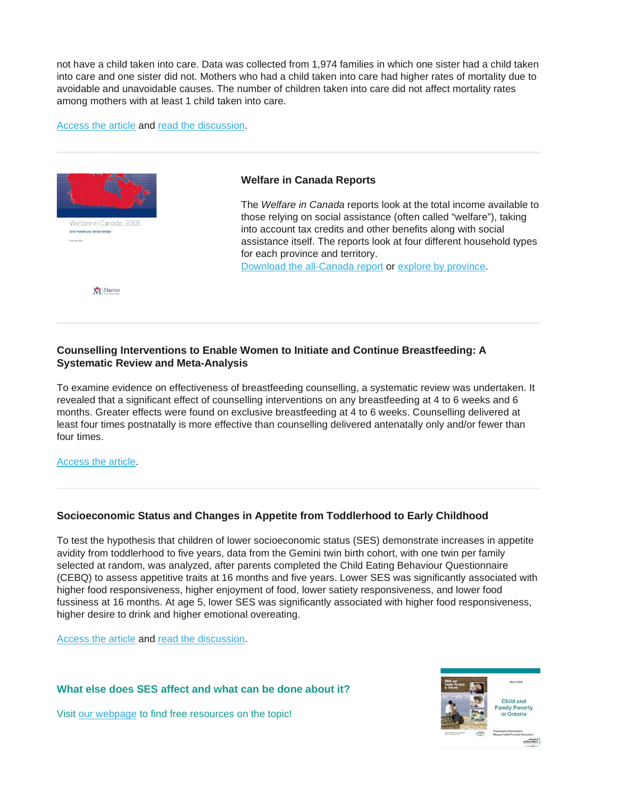not have a child taken into care. Data was collected from 1,974 families in which one sister had a child taken into care and one sister did not. Mothers who had a child taken into care had higher rates of mortality due to avoidable and unavoidable causes. The number of children taken into care did not affect mortality rates among mothers with at least 1 child taken into care.

#### [Access the article](https://academic.oup.com/aje/article/187/6/1182/4956003) and [read the discussion.](https://theconversation.com/losing-children-to-foster-care-endangers-mothers-lives-93618)



Anne Tweddle and Hannah Aldridge

#### **Welfare in Canada Reports**

The *Welfare in Canada* reports look at the total income available to those relying on social assistance (often called "welfare"), taking into account tax credits and other benefits along with social assistance itself. The reports look at four different household types for each province and territory. [Download the all-Canada report](https://maytree.com/wp-content/uploads/Welfare_in_Canada_2018.pdf) or [explore by province.](https://maytree.com/welfare-in-canada/?mc_cid=e1b1f05566&mc_eid=703de40a05)

M | Maytree

## **Counselling Interventions to Enable Women to Initiate and Continue Breastfeeding: A Systematic Review and Meta-Analysis**

To examine evidence on effectiveness of breastfeeding counselling, a systematic review was undertaken. It revealed that a significant effect of counselling interventions on any breastfeeding at 4 to 6 weeks and 6 months. Greater effects were found on exclusive breastfeeding at 4 to 6 weeks. Counselling delivered at least four times postnatally is more effective than counselling delivered antenatally only and/or fewer than four times.

[Access the article.](https://www.healthevidence.org/view-article.aspx?a=counselling-interventions-enable-women-initiate-continue-breastfeeding-37055)

## **Socioeconomic Status and Changes in Appetite from Toddlerhood to Early Childhood**

To test the hypothesis that children of lower socioeconomic status (SES) demonstrate increases in appetite avidity from toddlerhood to five years, data from the Gemini twin birth cohort, with one twin per family selected at random, was analyzed, after parents completed the Child Eating Behaviour Questionnaire (CEBQ) to assess appetitive traits at 16 months and five years. Lower SES was significantly associated with higher food responsiveness, higher enjoyment of food, lower satiety responsiveness, and lower food fussiness at 16 months. At age 5, lower SES was significantly associated with higher food responsiveness, higher desire to drink and higher emotional overeating.

[Access the article](https://www.sciencedirect.com/science/article/abs/pii/S0195666319304908) and [read the discussion.](https://theconversation.com/social-deprivation-linked-to-changes-in-eating-styles-in-early-childhood-127766?mkt_tok=eyJpIjoiWkRGbU9EbGhNVGt6WldJeiIsInQiOiJ6enc4ZDNEYVJcL1VJWVpsTXYrQnRWM1RoY3FINlc1cENjRUJBT2ZjdnZHZ0lkU0ZnaHlFTjBReU5Zak1xbkF6eE1iM1hGTGlkM3o5Y3BUVU9kdFk2c1B0a1Z3VHJJZ2RzcTA4emIxUlltZ0pBbndGTGI5cWdpMTBMK2tBSmM1RXQifQ%3D%3D)

#### **What else does SES affect and what can be done about it?**

Visit [our webpage](https://resources.beststart.org/product-category/resources/poverty/) to find free resources on the topic!



best stert<br>meilleur départ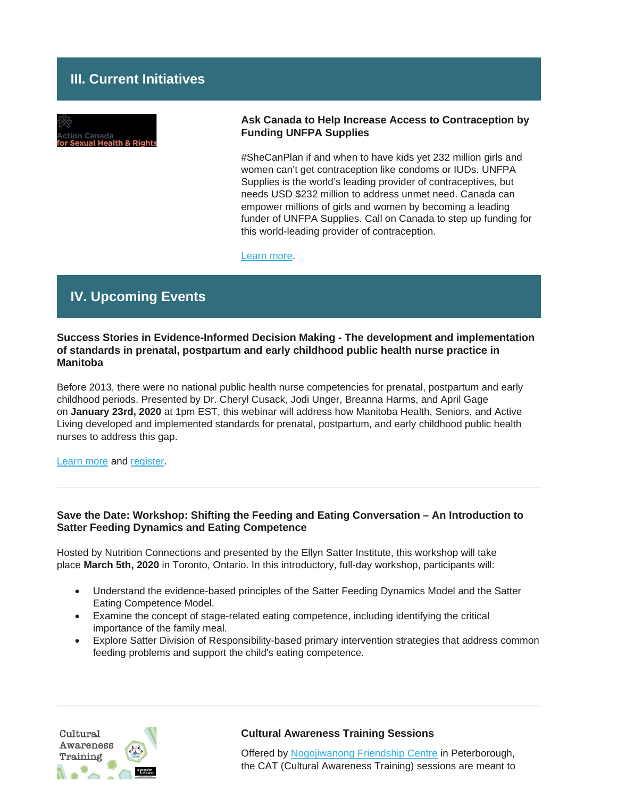# **III. Current Initiatives**



## **Ask Canada to Help Increase Access to Contraception by Funding UNFPA Supplies**

#SheCanPlan if and when to have kids yet 232 million girls and women can't get contraception like condoms or IUDs. UNFPA Supplies is the world's leading provider of contraceptives, but needs USD \$232 million to address unmet need. Canada can empower millions of girls and women by becoming a leading funder of UNFPA Supplies. Call on Canada to step up funding for this world-leading provider of contraception.

[Learn more.](https://www.globalcitizen.org/en/action/tweet-canada-to-support-unfpa-so-she-can-plan-1/?linkId=76922160)

# **IV. Upcoming Events**

## **Success Stories in Evidence-Informed Decision Making - The development and implementation of standards in prenatal, postpartum and early childhood public health nurse practice in Manitoba**

Before 2013, there were no national public health nurse competencies for prenatal, postpartum and early childhood periods. Presented by Dr. Cheryl Cusack, Jodi Unger, Breanna Harms, and April Gage on **January 23rd, 2020** at 1pm EST, this webinar will address how Manitoba Health, Seniors, and Active Living developed and implemented standards for prenatal, postpartum, and early childhood public health nurses to address this gap.

[Learn more](https://utoronto.us19.list-manage.com/track/click?u=90989609f245ac5cf3326343a&id=78efad9a48&e=361bf32a49) and [register.](https://utoronto.us19.list-manage.com/track/click?u=90989609f245ac5cf3326343a&id=9954876d39&e=361bf32a49)

## **Save the Date: Workshop: Shifting the Feeding and Eating Conversation – An Introduction to Satter Feeding Dynamics and Eating Competence**

Hosted by Nutrition Connections and presented by the Ellyn Satter Institute, this workshop will take place **March 5th, 2020** in Toronto, Ontario. In this introductory, full-day workshop, participants will:

- Understand the evidence-based principles of the Satter Feeding Dynamics Model and the Satter Eating Competence Model.
- Examine the concept of stage-related eating competence, including identifying the critical importance of the family meal.
- Explore Satter Division of Responsibility-based primary intervention strategies that address common feeding problems and support the child's eating competence.



#### **Cultural Awareness Training Sessions**

Offered by [Nogojiwanong Friendship Centre](https://www.nogofc.ca/) in Peterborough, the CAT (Cultural Awareness Training) sessions are meant to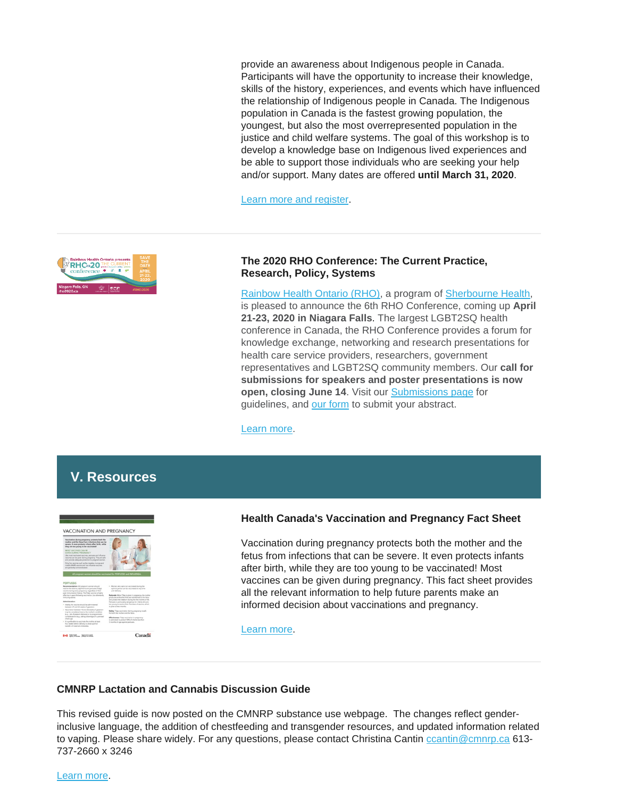provide an awareness about Indigenous people in Canada. Participants will have the opportunity to increase their knowledge, skills of the history, experiences, and events which have influenced the relationship of Indigenous people in Canada. The Indigenous population in Canada is the fastest growing population, the youngest, but also the most overrepresented population in the justice and child welfare systems. The goal of this workshop is to develop a knowledge base on Indigenous lived experiences and be able to support those individuals who are seeking your help and/or support. Many dates are offered **until March 31, 2020**.

[Learn more and register.](https://www.eventbrite.ca/e/cultural-awareness-training-tickets-59948914818)



### **The 2020 RHO Conference: The Current Practice, Research, Policy, Systems**

[Rainbow Health Ontario \(RHO\),](https://www.rainbowhealthontario.ca/) a program of [Sherbourne Health,](https://sherbourne.on.ca/) is pleased to announce the 6th RHO Conference, coming up **April 21-23, 2020 in Niagara Falls**. The largest LGBT2SQ health conference in Canada, the RHO Conference provides a forum for knowledge exchange, networking and research presentations for health care service providers, researchers, government representatives and LGBT2SQ community members. Our **call for submissions for speakers and poster presentations is now open, closing June 14**. Visit our [Submissions page](https://www.rho2020.ca/call-for-submissions--appel-de-propositions.html) for guidelines, and [our form](https://events.eply.com/rho2020SpeakersConferenciers) to submit your abstract.

[Learn more.](https://www.rho2020.ca/)

# **V. Resources**



## **Health Canada's Vaccination and Pregnancy Fact Sheet**

Vaccination during pregnancy protects both the mother and the fetus from infections that can be severe. It even protects infants after birth, while they are too young to be vaccinated! Most vaccines can be given during pregnancy. This fact sheet provides all the relevant information to help future parents make an informed decision about vaccinations and pregnancy.

[Learn more.](https://www.canada.ca/en/public-health/services/publications/vaccines-immunization/vaccination-pregnancy-fact-sheet.html)

## **CMNRP Lactation and Cannabis Discussion Guide**

This revised guide is now posted on the CMNRP substance use webpage. The changes reflect genderinclusive language, the addition of chestfeeding and transgender resources, and updated information related to vaping. Please share widely. For any questions, please contact Christina Cantin [ccantin@cmnrp.ca](mailto:ccantin@cmnrp.ca) 613-737-2660 x 3246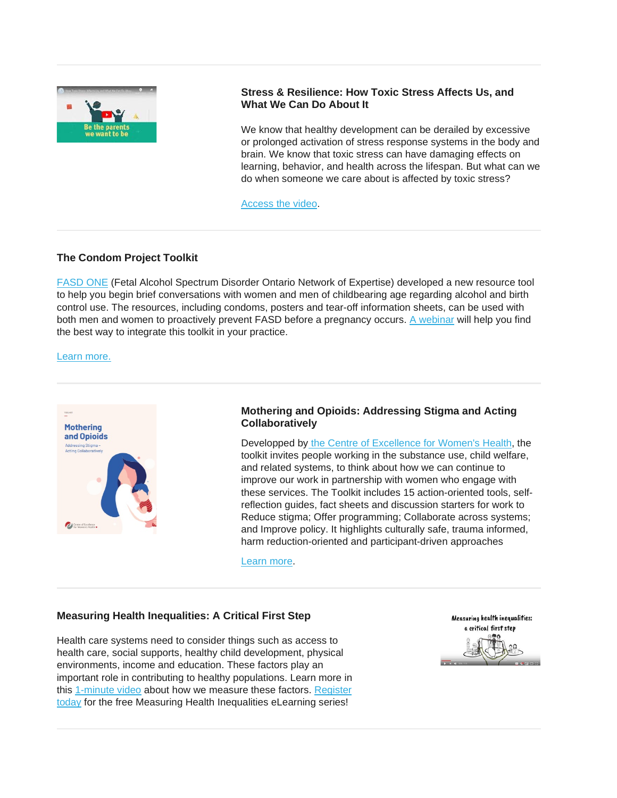

# **Stress & Resilience: How Toxic Stress Affects Us, and What We Can Do About It**

We know that healthy development can be derailed by excessive or prolonged activation of stress response systems in the body and brain. We know that toxic stress can have damaging effects on learning, behavior, and health across the lifespan. But what can we do when someone we care about is affected by toxic stress?

[Access the video.](https://developingchild.harvard.edu/resources/stress-and-resilience-how-toxic-stress-affects-us-and-what-we-can-do-about-it/?utm_source=newsletter&utm_medium=email&utm_campaign=november_2019)

### **The Condom Project Toolkit**

[FASD ONE](https://fasdontario.ca/) (Fetal Alcohol Spectrum Disorder Ontario Network of Expertise) developed a new resource tool to help you begin brief conversations with women and men of childbearing age regarding alcohol and birth control use. The resources, including condoms, posters and tear-off information sheets, can be used with both men and women to proactively prevent FASD before a pregnancy occurs. [A webinar](https://youtu.be/e1XFXSML0w8) will help you find the best way to integrate this toolkit in your practice.

#### [Learn more.](https://fasdontario.ca/news/condom-project-to-start-conversations-about-alcohol-and-birth-control-use/)



## **Mothering and Opioids: Addressing Stigma and Acting Collaboratively**

Developped by [the Centre of Excellence for Women's](http://bccewh.bc.ca/) Health, the toolkit invites people working in the substance use, child welfare, and related systems, to think about how we can continue to improve our work in partnership with women who engage with these services. The Toolkit includes 15 action-oriented tools, selfreflection guides, fact sheets and discussion starters for work to Reduce stigma; Offer programming; Collaborate across systems; and Improve policy. It highlights culturally safe, trauma informed. harm reduction-oriented and participant-driven approaches

[Learn more.](http://bccewh.bc.ca/2019/11/mothering-and-opioids-addressing-stigma-acting-collaboratively/)

#### **Measuring Health Inequalities: A Critical First Step**

Health care systems need to consider things such as access to health care, social supports, healthy child development, physical environments, income and education. These factors play an important role in contributing to healthy populations. Learn more in this [1-minute video](http://emktg.cihi.ca/UrlTracking.aspx?em_key=08jafBPP2lV++SzYA9crXnguzf69772BpRYQwdGchCoOfLXGIWW6Y6UWEMHRnIQqg19HC7QwJHg5bqfdhCmHXL3vARe3YTEE&em_url=about:https%3a%2f%2fwww.youtube.com%2fwatch%3fv%3d3JFZgvr4qTc%26feature%3dyoutu.be%26emktg_lang%3den%26emktg_order%3d3) about how we measure these factors. [Register](http://emktg.cihi.ca/UrlTracking.aspx?em_key=08jafBPP2lV++SzYA9crXnguzf69772BpRYQwdGchCoOfLXGIWW6Y6UWEMHRnIQqg19HC7QwJHg5bqfdhCmHXL3vARe3YTEE&em_url=about:https%3a%2f%2flearning.cihi.ca%2f%3futm_medium%3demail%26utm_source%3dcrm%26utm_campaign%3dedu%2dq4%2dwinter%2dcourses%2d2019%26utm_content%3dcihi%2dlearning%2dcentre%2d3%2den%3femktg_lang%3den%26emktg_order%3d4)  [today](http://emktg.cihi.ca/UrlTracking.aspx?em_key=08jafBPP2lV++SzYA9crXnguzf69772BpRYQwdGchCoOfLXGIWW6Y6UWEMHRnIQqg19HC7QwJHg5bqfdhCmHXL3vARe3YTEE&em_url=about:https%3a%2f%2flearning.cihi.ca%2f%3futm_medium%3demail%26utm_source%3dcrm%26utm_campaign%3dedu%2dq4%2dwinter%2dcourses%2d2019%26utm_content%3dcihi%2dlearning%2dcentre%2d3%2den%3femktg_lang%3den%26emktg_order%3d4) for the free Measuring Health Inequalities eLearning series!

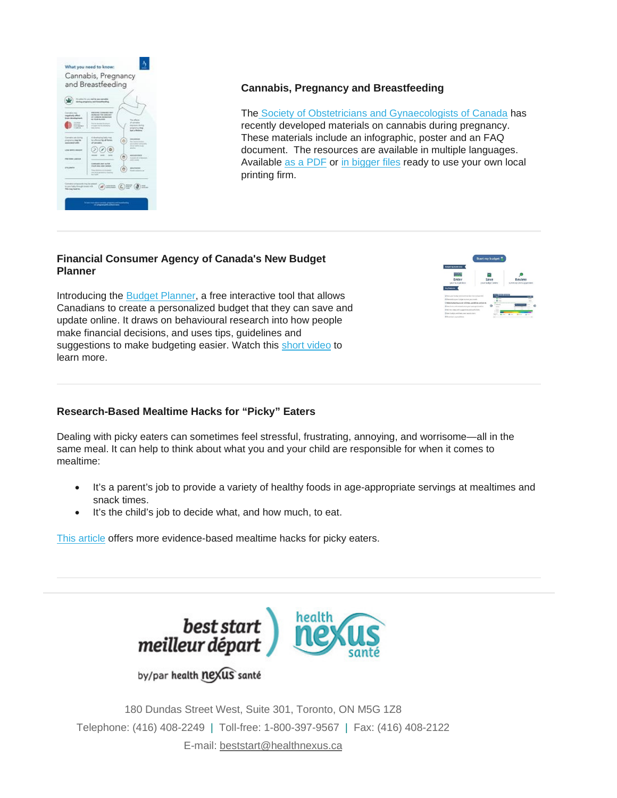

# **Cannabis, Pregnancy and Breastfeeding**

The [Society of Obstetricians and Gynaecologists of Canada](https://www.sogc.org/) has recently developed materials on cannabis during pregnancy. These materials include an infographic, poster and an FAQ document. The resources are available in multiple languages. Available as a [PDF](https://www.cpha.ca/cannabis-pregnancy-and-breastfeeding) or [in bigger files](https://clients.alphabetcreative.com/SOGC/SOGC_13333_Cannabis_Campaign_PRESS.zip) ready to use your own local printing firm.

## **Financial Consumer Agency of Canada's New Budget Planner**

Introducing the [Budget Planner,](https://familiescanada.us15.list-manage.com/track/click?u=6831b71a588234cc9ab12bd93&id=5979a6ea28&e=4f0174fc65) a free interactive tool that allows Canadians to create a personalized budget that they can save and update online. It draws on behavioural research into how people make financial decisions, and uses tips, guidelines and suggestions to make budgeting easier. Watch this [short video](https://familiescanada.us15.list-manage.com/track/click?u=6831b71a588234cc9ab12bd93&id=dca2aebb4f&e=4f0174fc65) to learn more.



# **Research-Based Mealtime Hacks for "Picky" Eaters**

Dealing with picky eaters can sometimes feel stressful, frustrating, annoying, and worrisome—all in the same meal. It can help to think about what you and your child are responsible for when it comes to mealtime:

- It's a parent's job to provide a variety of healthy foods in age-appropriate servings at mealtimes and snack times.
- It's the child's job to decide what, and how much, to eat.

[This article](https://www.zerotothree.org/resources/2983-research-based-mealtime-hacks-for-picky-eaters) offers more evidence-based mealtime hacks for picky eaters.



180 Dundas Street West, Suite 301, Toronto, ON M5G 1Z8 Telephone: (416) 408-2249 | Toll-free: 1-800-397-9567 | Fax: (416) 408-2122 E-mail: [beststart@healthnexus.ca](mailto:beststart@healthnexus.ca?subject=Contact%20Us)